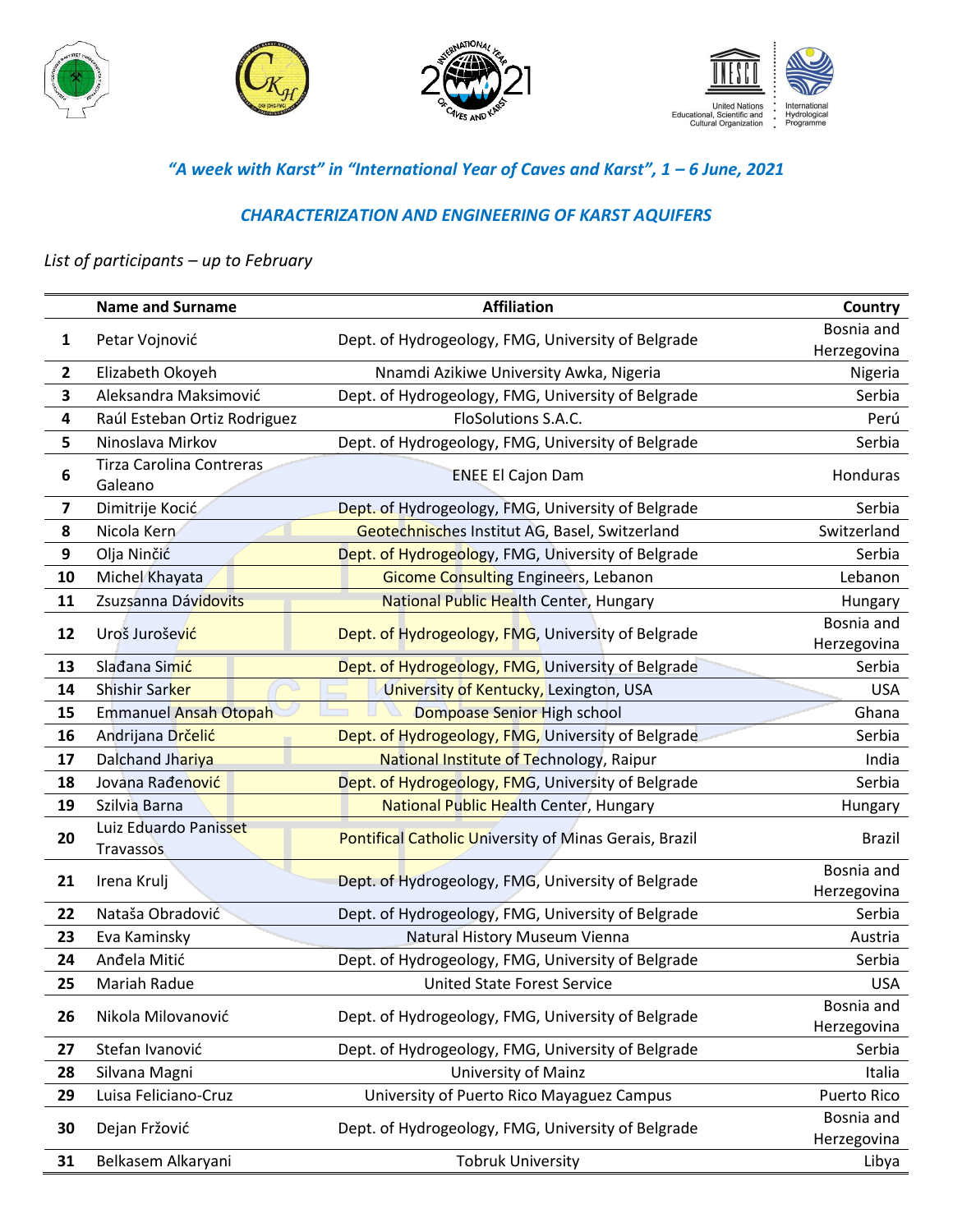

## *"A week with Karst" in "International Year of Caves and Karst", 1 – 6 June, 2021*

## *CHARACTERIZATION AND ENGINEERING OF KARST AQUIFERS*

## *List of participants – up to February*

|                         | <b>Name and Surname</b>             | <b>Affiliation</b>                                            | Country                   |
|-------------------------|-------------------------------------|---------------------------------------------------------------|---------------------------|
| 1                       | Petar Vojnović                      | Dept. of Hydrogeology, FMG, University of Belgrade            | Bosnia and                |
|                         |                                     |                                                               | Herzegovina               |
| $\overline{\mathbf{2}}$ | Elizabeth Okoyeh                    | Nnamdi Azikiwe University Awka, Nigeria                       | Nigeria                   |
| 3                       | Aleksandra Maksimović               | Dept. of Hydrogeology, FMG, University of Belgrade            | Serbia                    |
| 4                       | Raúl Esteban Ortiz Rodriguez        | FloSolutions S.A.C.                                           | Perú                      |
| 5                       | Ninoslava Mirkov                    | Dept. of Hydrogeology, FMG, University of Belgrade            | Serbia                    |
| 6                       | Tirza Carolina Contreras<br>Galeano | <b>ENEE El Cajon Dam</b>                                      | Honduras                  |
| 7                       | Dimitrije Kocić                     | Dept. of Hydrogeology, FMG, University of Belgrade            | Serbia                    |
| 8                       | Nicola Kern                         | Geotechnisches Institut AG, Basel, Switzerland                | Switzerland               |
| 9                       | Olja Ninčić                         | Dept. of Hydrogeology, FMG, University of Belgrade            | Serbia                    |
| 10                      | Michel Khayata                      | <b>Gicome Consulting Engineers, Lebanon</b>                   | Lebanon                   |
| 11                      | Zsuzsanna Dávidovits                | National Public Health Center, Hungary                        | Hungary                   |
| 12                      | Uroš Jurošević                      | Dept. of Hydrogeology, FMG, University of Belgrade            | Bosnia and<br>Herzegovina |
| 13                      | Sladana Simić                       | Dept. of Hydrogeology, FMG, University of Belgrade            | Serbia                    |
| 14                      | Shishir Sarker                      | University of Kentucky, Lexington, USA                        | <b>USA</b>                |
| 15                      | Emmanuel Ansah Otopah               | Dompoase Senior High school                                   | Ghana                     |
| 16                      | Andrijana Drčelić                   | Dept. of Hydrogeology, FMG, University of Belgrade            | Serbia                    |
| 17                      | Dalchand Jhariya                    | National Institute of Technology, Raipur                      | India                     |
| 18                      | Jovana Rađenović                    | Dept. of Hydrogeology, FMG, University of Belgrade            | Serbia                    |
| 19                      | Szilvia Barna                       | National Public Health Center, Hungary                        | Hungary                   |
| 20                      | Luiz Eduardo Panisset<br>Travassos  | <b>Pontifical Catholic University of Minas Gerais, Brazil</b> | <b>Brazil</b>             |
| 21                      | Irena Krulj                         | Dept. of Hydrogeology, FMG, University of Belgrade            | Bosnia and<br>Herzegovina |
| 22                      | Nataša Obradović                    | Dept. of Hydrogeology, FMG, University of Belgrade            | Serbia                    |
| 23                      | Eva Kaminsky                        | Natural History Museum Vienna                                 | Austria                   |
| 24                      | Anđela Mitić                        | Dept. of Hydrogeology, FMG, University of Belgrade            | Serbia                    |
| 25                      | Mariah Radue                        | United State Forest Service                                   | <b>USA</b>                |
| 26                      | Nikola Milovanović                  | Dept. of Hydrogeology, FMG, University of Belgrade            | Bosnia and<br>Herzegovina |
| 27                      | Stefan Ivanović                     | Dept. of Hydrogeology, FMG, University of Belgrade            | Serbia                    |
| 28                      | Silvana Magni                       | University of Mainz                                           | Italia                    |
| 29                      | Luisa Feliciano-Cruz                | University of Puerto Rico Mayaguez Campus                     | Puerto Rico               |
| 30                      | Dejan Fržović                       | Dept. of Hydrogeology, FMG, University of Belgrade            | Bosnia and<br>Herzegovina |
| 31                      | Belkasem Alkaryani                  | <b>Tobruk University</b>                                      | Libya                     |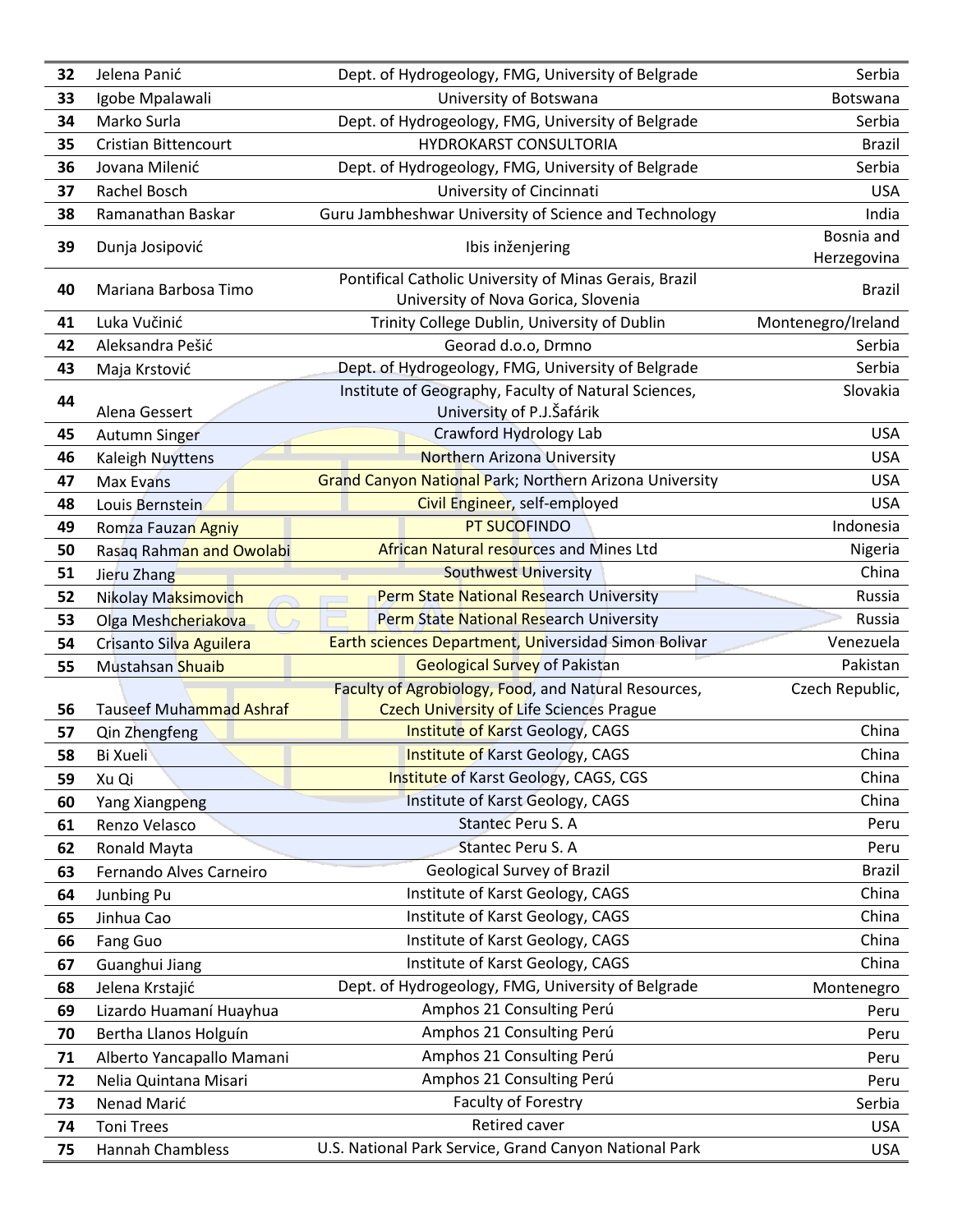| 32 | Jelena Panić                   | Dept. of Hydrogeology, FMG, University of Belgrade             | Serbia             |
|----|--------------------------------|----------------------------------------------------------------|--------------------|
| 33 | Igobe Mpalawali                | University of Botswana                                         | <b>Botswana</b>    |
| 34 | Marko Surla                    | Dept. of Hydrogeology, FMG, University of Belgrade             | Serbia             |
| 35 | <b>Cristian Bittencourt</b>    | <b>HYDROKARST CONSULTORIA</b>                                  | <b>Brazil</b>      |
| 36 | Jovana Milenić                 | Dept. of Hydrogeology, FMG, University of Belgrade             | Serbia             |
| 37 | Rachel Bosch                   | University of Cincinnati                                       | <b>USA</b>         |
| 38 | Ramanathan Baskar              | Guru Jambheshwar University of Science and Technology          | India              |
| 39 | Dunja Josipović                | Ibis inženjering                                               | Bosnia and         |
|    |                                | Pontifical Catholic University of Minas Gerais, Brazil         | Herzegovina        |
| 40 | Mariana Barbosa Timo           | University of Nova Gorica, Slovenia                            | Brazil             |
| 41 | Luka Vučinić                   | Trinity College Dublin, University of Dublin                   | Montenegro/Ireland |
| 42 | Aleksandra Pešić               | Georad d.o.o, Drmno                                            | Serbia             |
| 43 | Maja Krstović                  | Dept. of Hydrogeology, FMG, University of Belgrade             | Serbia             |
|    |                                | Institute of Geography, Faculty of Natural Sciences,           | Slovakia           |
| 44 | Alena Gessert                  | University of P.J. Šafárik                                     |                    |
| 45 | Autumn Singer                  | Crawford Hydrology Lab                                         | <b>USA</b>         |
| 46 | <b>Kaleigh Nuyttens</b>        | <b>Northern Arizona University</b>                             | <b>USA</b>         |
| 47 | Max Evans                      | <b>Grand Canyon National Park; Northern Arizona University</b> | <b>USA</b>         |
| 48 | Louis Bernstein                | Civil Engineer, self-employed                                  | <b>USA</b>         |
| 49 | Romza Fauzan Agniy             | <b>PT SUCOFINDO</b>                                            | Indonesia          |
| 50 | Rasaq Rahman and Owolabi       | <b>African Natural resources and Mines Ltd</b>                 | Nigeria            |
| 51 | Jieru Zhang                    | <b>Southwest University</b>                                    | China              |
| 52 | Nikolay Maksimovich            | Perm State National Research University                        | Russia             |
| 53 | Olga Meshcheriakova            | Perm State National Research University                        | Russia             |
| 54 | Crisanto Silva Aguilera        | Earth sciences Department, Universidad Simon Bolivar           | Venezuela          |
| 55 | Mustahsan Shuaib               | <b>Geological Survey of Pakistan</b>                           | Pakistan           |
|    |                                | Faculty of Agrobiology, Food, and Natural Resources,           | Czech Republic,    |
| 56 | <b>Tauseef Muhammad Ashraf</b> | <b>Czech University of Life Sciences Prague</b>                |                    |
| 57 | Qin Zhengfeng                  | <b>Institute of Karst Geology, CAGS</b>                        | China              |
| 58 | <b>Bi Xueli</b>                | Institute of Karst Geology, CAGS                               | China              |
| 59 | Xu Qi                          | Institute of Karst Geology, CAGS, CGS                          | China              |
| 60 | Yang Xiangpeng                 | Institute of Karst Geology, CAGS                               | China              |
| 61 | Renzo Velasco                  | Stantec Peru S. A                                              | Peru               |
| 62 | Ronald Mayta                   | Stantec Peru S. A                                              | Peru               |
| 63 | Fernando Alves Carneiro        | <b>Geological Survey of Brazil</b>                             | <b>Brazil</b>      |
| 64 | Junbing Pu                     | Institute of Karst Geology, CAGS                               | China              |
| 65 | Jinhua Cao                     | Institute of Karst Geology, CAGS                               | China              |
| 66 | Fang Guo                       | Institute of Karst Geology, CAGS                               | China              |
| 67 | Guanghui Jiang                 | Institute of Karst Geology, CAGS                               | China              |
| 68 | Jelena Krstajić                | Dept. of Hydrogeology, FMG, University of Belgrade             | Montenegro         |
| 69 | Lizardo Huamaní Huayhua        | Amphos 21 Consulting Perú                                      | Peru               |
| 70 | Bertha Llanos Holguín          | Amphos 21 Consulting Perú                                      | Peru               |
| 71 | Alberto Yancapallo Mamani      | Amphos 21 Consulting Perú                                      | Peru               |
| 72 | Nelia Quintana Misari          | Amphos 21 Consulting Perú                                      | Peru               |
| 73 | Nenad Marić                    | Faculty of Forestry                                            | Serbia             |
| 74 | <b>Toni Trees</b>              | Retired caver                                                  | <b>USA</b>         |
| 75 | Hannah Chambless               | U.S. National Park Service, Grand Canyon National Park         | <b>USA</b>         |